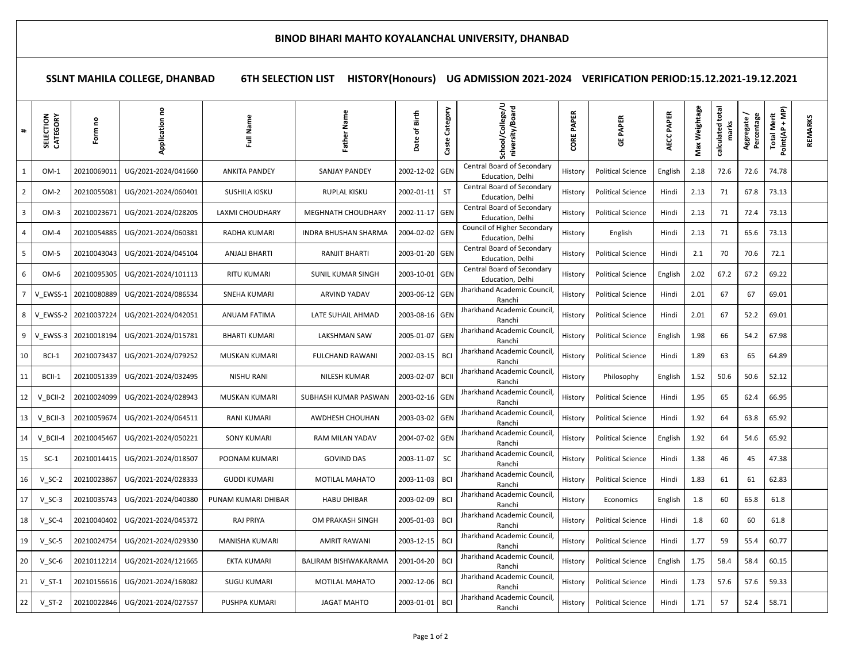## **SSLNT MAHILA COLLEGE, DHANBAD 6TH SELECTION LIST HISTORY(Honours) UG ADMISSION 2021-2024 VERIFICATION PERIOD:15.12.2021-19.12.2021**

| $\ddagger$              | CATEGORY<br>SELECTION | ဥ<br>Form   | 2<br>Application    | Full Name            | m<br>Sam<br>高            | Birth<br>Date of | Category<br>Caste | sity/Board<br>School/Colle                      | PAPER<br>CORE | PAPER<br>ö               | <b>AECC PAPER</b> | Weightage<br>Max | calculated tota | Percentage<br>Aggregate | Point(AP + MP)<br><b>Total Merit</b> | REMARKS |
|-------------------------|-----------------------|-------------|---------------------|----------------------|--------------------------|------------------|-------------------|-------------------------------------------------|---------------|--------------------------|-------------------|------------------|-----------------|-------------------------|--------------------------------------|---------|
| 1                       | $OM-1$                | 20210069011 | UG/2021-2024/041660 | <b>ANKITA PANDEY</b> | SANJAY PANDEY            | 2002-12-02       | GEN               | Central Board of Secondary<br>Education, Delhi  | History       | <b>Political Science</b> | English           | 2.18             | 72.6            | 72.6                    | 74.78                                |         |
| $\overline{2}$          | $OM-2$                | 20210055081 | UG/2021-2024/060401 | SUSHILA KISKU        | <b>RUPLAL KISKU</b>      | 2002-01-11       | ST                | Central Board of Secondary<br>Education, Delhi  | History       | <b>Political Science</b> | Hindi             | 2.13             | 71              | 67.8                    | 73.13                                |         |
| $\overline{\mathbf{3}}$ | $OM-3$                | 20210023671 | UG/2021-2024/028205 | LAXMI CHOUDHARY      | MEGHNATH CHOUDHARY       | 2002-11-17 GEN   |                   | Central Board of Secondary<br>Education, Delhi  | History       | <b>Political Science</b> | Hindi             | 2.13             | 71              | 72.4                    | 73.13                                |         |
| $\overline{4}$          | OM-4                  | 20210054885 | UG/2021-2024/060381 | RADHA KUMARI         | INDRA BHUSHAN SHARMA     | 2004-02-02 GEN   |                   | Council of Higher Secondary<br>Education, Delhi | History       | English                  | Hindi             | 2.13             | 71              | 65.6                    | 73.13                                |         |
| 5                       | OM-5                  | 20210043043 | UG/2021-2024/045104 | ANJALI BHARTI        | RANJIT BHARTI            | 2003-01-20 GEN   |                   | Central Board of Secondary<br>Education, Delhi  | History       | <b>Political Science</b> | Hindi             | 2.1              | 70              | 70.6                    | 72.1                                 |         |
| 6                       | OM-6                  | 20210095305 | UG/2021-2024/101113 | <b>RITU KUMARI</b>   | <b>SUNIL KUMAR SINGH</b> | 2003-10-01 GEN   |                   | Central Board of Secondary<br>Education, Delhi  | History       | <b>Political Science</b> | English           | 2.02             | 67.2            | 67.2                    | 69.22                                |         |
| $\overline{7}$          | V EWSS-1              | 20210080889 | UG/2021-2024/086534 | SNEHA KUMARI         | ARVIND YADAV             | 2003-06-12 GEN   |                   | Jharkhand Academic Council,<br>Ranchi           | History       | <b>Political Science</b> | Hindi             | 2.01             | 67              | 67                      | 69.01                                |         |
| 8                       | V EWSS-2              | 20210037224 | UG/2021-2024/042051 | ANUAM FATIMA         | LATE SUHAIL AHMAD        | 2003-08-16 GEN   |                   | Jharkhand Academic Council,<br>Ranchi           | History       | <b>Political Science</b> | Hindi             | 2.01             | 67              | 52.2                    | 69.01                                |         |
| 9                       | V EWSS-3              | 20210018194 | UG/2021-2024/015781 | <b>BHARTI KUMARI</b> | <b>LAKSHMAN SAW</b>      | 2005-01-07 GEN   |                   | Jharkhand Academic Council,<br>Ranchi           | History       | <b>Political Science</b> | English           | 1.98             | 66              | 54.2                    | 67.98                                |         |
| 10                      | BCI-1                 | 20210073437 | UG/2021-2024/079252 | MUSKAN KUMARI        | <b>FULCHAND RAWANI</b>   | 2002-03-15 BCI   |                   | Jharkhand Academic Council,<br>Ranchi           | History       | <b>Political Science</b> | Hindi             | 1.89             | 63              | 65                      | 64.89                                |         |
| 11                      | BCII-1                | 20210051339 | UG/2021-2024/032495 | <b>NISHU RANI</b>    | NILESH KUMAR             | 2003-02-07 BCII  |                   | Jharkhand Academic Council,<br>Ranchi           | History       | Philosophy               | English           | 1.52             | 50.6            | 50.6                    | 52.12                                |         |
| 12                      | V BCII-2              | 20210024099 | UG/2021-2024/028943 | MUSKAN KUMARI        | SUBHASH KUMAR PASWAN     | 2003-02-16 GEN   |                   | Jharkhand Academic Council<br>Ranchi            | History       | <b>Political Science</b> | Hindi             | 1.95             | 65              | 62.4                    | 66.95                                |         |
| 13                      | V BCII-3              | 20210059674 | UG/2021-2024/064511 | RANI KUMARI          | AWDHESH CHOUHAN          | 2003-03-02 GEN   |                   | Jharkhand Academic Council<br>Ranchi            | History       | <b>Political Science</b> | Hindi             | 1.92             | 64              | 63.8                    | 65.92                                |         |
| 14                      | V BCII-4              | 20210045467 | UG/2021-2024/050221 | <b>SONY KUMARI</b>   | RAM MILAN YADAV          | 2004-07-02 GEN   |                   | Jharkhand Academic Council,<br>Ranchi           | History       | <b>Political Science</b> | English           | 1.92             | 64              | 54.6                    | 65.92                                |         |
| 15                      | $SC-1$                | 20210014415 | UG/2021-2024/018507 | POONAM KUMARI        | <b>GOVIND DAS</b>        | 2003-11-07       | <b>SC</b>         | Jharkhand Academic Council<br>Ranchi            | History       | <b>Political Science</b> | Hindi             | 1.38             | 46              | 45                      | 47.38                                |         |
| 16                      | $V$ SC-2              | 20210023867 | UG/2021-2024/028333 | <b>GUDDI KUMARI</b>  | <b>MOTILAL MAHATO</b>    | 2003-11-03       | BCI               | Jharkhand Academic Council,<br>Ranchi           | History       | <b>Political Science</b> | Hindi             | 1.83             | 61              | 61                      | 62.83                                |         |
| 17                      | $V$ SC-3              | 20210035743 | UG/2021-2024/040380 | PUNAM KUMARI DHIBAR  | <b>HABU DHIBAR</b>       | 2003-02-09 BCI   |                   | Jharkhand Academic Council,<br>Ranchi           | History       | Economics                | English           | 1.8              | 60              | 65.8                    | 61.8                                 |         |
| 18                      | $V_SC-4$              | 20210040402 | UG/2021-2024/045372 | <b>RAJ PRIYA</b>     | OM PRAKASH SINGH         | 2005-01-03 BCI   |                   | Jharkhand Academic Council,<br>Ranchi           | History       | <b>Political Science</b> | Hindi             | 1.8              | 60              | 60                      | 61.8                                 |         |
| 19                      | $V$ SC-5              | 20210024754 | UG/2021-2024/029330 | MANISHA KUMARI       | <b>AMRIT RAWANI</b>      | 2003-12-15 BCI   |                   | Jharkhand Academic Council<br>Ranchi            | History       | <b>Political Science</b> | Hindi             | 1.77             | 59              | 55.4                    | 60.77                                |         |
| 20                      | $V$ SC-6              | 20210112214 | UG/2021-2024/121665 | EKTA KUMARI          | BALIRAM BISHWAKARAMA     | 2001-04-20 BCI   |                   | Jharkhand Academic Council<br>Ranchi            | History       | <b>Political Science</b> | English           | 1.75             | 58.4            | 58.4                    | 60.15                                |         |
| 21                      | $V ST-1$              | 20210156616 | UG/2021-2024/168082 | <b>SUGU KUMARI</b>   | MOTILAL MAHATO           | 2002-12-06       | BCI               | Jharkhand Academic Council<br>Ranchi            | History       | <b>Political Science</b> | Hindi             | 1.73             | 57.6            | 57.6                    | 59.33                                |         |
| 22                      | $V_S$ T-2             | 20210022846 | UG/2021-2024/027557 | PUSHPA KUMARI        | JAGAT MAHTO              | 2003-01-01 BCI   |                   | Jharkhand Academic Council,<br>Ranchi           | History       | <b>Political Science</b> | Hindi             | 1.71             | 57              | 52.4                    | 58.71                                |         |